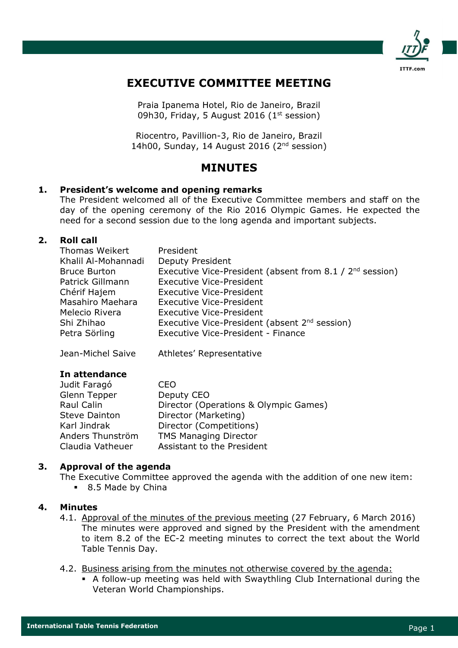

# EXECUTIVE COMMITTEE MEETING

Praia Ipanema Hotel, Rio de Janeiro, Brazil 09h30, Friday, 5 August 2016 ( $1<sup>st</sup>$  session)

Riocentro, Pavillion-3, Rio de Janeiro, Brazil 14h00, Sunday, 14 August 2016 (2<sup>nd</sup> session)

# MINUTES

## 1. President's welcome and opening remarks

The President welcomed all of the Executive Committee members and staff on the day of the opening ceremony of the Rio 2016 Olympic Games. He expected the need for a second session due to the long agenda and important subjects.

## 2. Roll call

| Thomas Weikert      | President                                                            |
|---------------------|----------------------------------------------------------------------|
| Khalil Al-Mohannadi | <b>Deputy President</b>                                              |
| <b>Bruce Burton</b> | Executive Vice-President (absent from 8.1 / 2 <sup>nd</sup> session) |
| Patrick Gillmann    | <b>Executive Vice-President</b>                                      |
| Chérif Hajem        | <b>Executive Vice-President</b>                                      |
| Masahiro Maehara    | <b>Executive Vice-President</b>                                      |
| Melecio Rivera      | <b>Executive Vice-President</b>                                      |
| Shi Zhihao          | Executive Vice-President (absent 2 <sup>nd</sup> session)            |
| Petra Sörling       | Executive Vice-President - Finance                                   |
|                     |                                                                      |

Jean-Michel Saive Athletes' Representative

#### In attendance

| Judit Faragó         | CFO                                   |
|----------------------|---------------------------------------|
| Glenn Tepper         | Deputy CEO                            |
| Raul Calin           | Director (Operations & Olympic Games) |
| <b>Steve Dainton</b> | Director (Marketing)                  |
| Karl Jindrak         | Director (Competitions)               |
| Anders Thunström     | <b>TMS Managing Director</b>          |
| Claudia Vatheuer     | Assistant to the President            |

# 3. Approval of the agenda

The Executive Committee approved the agenda with the addition of one new item:

**8.5 Made by China** 

#### 4. Minutes

- 4.1. Approval of the minutes of the previous meeting (27 February, 6 March 2016) The minutes were approved and signed by the President with the amendment to item 8.2 of the EC-2 meeting minutes to correct the text about the World Table Tennis Day.
- 4.2. Business arising from the minutes not otherwise covered by the agenda:
	- A follow-up meeting was held with Swaythling Club International during the Veteran World Championships.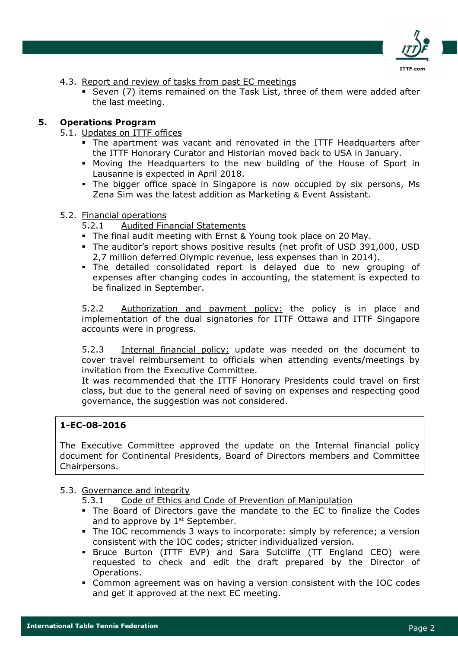

- 4.3. Report and review of tasks from past EC meetings
	- Seven (7) items remained on the Task List, three of them were added after the last meeting.

## 5. Operations Program

#### 5.1. Updates on ITTF offices

- The apartment was vacant and renovated in the ITTF Headquarters after the ITTF Honorary Curator and Historian moved back to USA in January.
- Moving the Headquarters to the new building of the House of Sport in Lausanne is expected in April 2018.
- The bigger office space in Singapore is now occupied by six persons, Ms Zena Sim was the latest addition as Marketing & Event Assistant.

## 5.2. Financial operations

- 5.2.1 Audited Financial Statements
- The final audit meeting with Ernst & Young took place on 20 May.
- The auditor's report shows positive results (net profit of USD 391,000, USD 2,7 million deferred Olympic revenue, less expenses than in 2014).
- The detailed consolidated report is delayed due to new grouping of expenses after changing codes in accounting, the statement is expected to be finalized in September.

5.2.2 Authorization and payment policy: the policy is in place and implementation of the dual signatories for ITTF Ottawa and ITTF Singapore accounts were in progress.

5.2.3 Internal financial policy: update was needed on the document to cover travel reimbursement to officials when attending events/meetings by invitation from the Executive Committee.

It was recommended that the ITTF Honorary Presidents could travel on first class, but due to the general need of saving on expenses and respecting good governance, the suggestion was not considered.

## 1-EC-08-2016

The Executive Committee approved the update on the Internal financial policy document for Continental Presidents, Board of Directors members and Committee Chairpersons.

#### 5.3. Governance and integrity

- 5.3.1 Code of Ethics and Code of Prevention of Manipulation
- The Board of Directors gave the mandate to the EC to finalize the Codes and to approve by  $1<sup>st</sup>$  September.
- The IOC recommends 3 ways to incorporate: simply by reference; a version consistent with the IOC codes; stricter individualized version.
- Bruce Burton (ITTF EVP) and Sara Sutcliffe (TT England CEO) were requested to check and edit the draft prepared by the Director of Operations.
- Common agreement was on having a version consistent with the IOC codes and get it approved at the next EC meeting.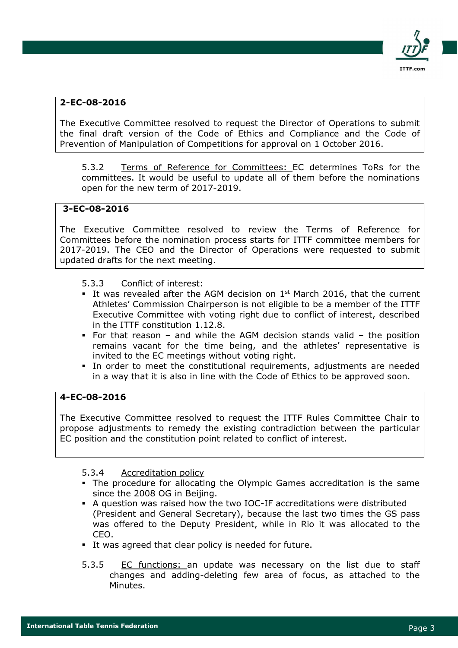

# 2-EC-08-2016

The Executive Committee resolved to request the Director of Operations to submit the final draft version of the Code of Ethics and Compliance and the Code of Prevention of Manipulation of Competitions for approval on 1 October 2016.

5.3.2 Terms of Reference for Committees: EC determines ToRs for the committees. It would be useful to update all of them before the nominations open for the new term of 2017-2019.

# 3-EC-08-2016

The Executive Committee resolved to review the Terms of Reference for Committees before the nomination process starts for ITTF committee members for 2017-2019. The CEO and the Director of Operations were requested to submit updated drafts for the next meeting.

## 5.3.3 Conflict of interest:

- It was revealed after the AGM decision on  $1<sup>st</sup>$  March 2016, that the current Athletes' Commission Chairperson is not eligible to be a member of the ITTF Executive Committee with voting right due to conflict of interest, described in the ITTF constitution 1.12.8.
- For that reason and while the AGM decision stands valid the position remains vacant for the time being, and the athletes' representative is invited to the EC meetings without voting right.
- In order to meet the constitutional requirements, adjustments are needed in a way that it is also in line with the Code of Ethics to be approved soon.

# 4-EC-08-2016

The Executive Committee resolved to request the ITTF Rules Committee Chair to propose adjustments to remedy the existing contradiction between the particular EC position and the constitution point related to conflict of interest.

- 5.3.4 Accreditation policy
- The procedure for allocating the Olympic Games accreditation is the same since the 2008 OG in Beijing.
- A question was raised how the two IOC-IF accreditations were distributed (President and General Secretary), because the last two times the GS pass was offered to the Deputy President, while in Rio it was allocated to the CEO.
- It was agreed that clear policy is needed for future.
- 5.3.5 EC functions: an update was necessary on the list due to staff changes and adding-deleting few area of focus, as attached to the Minutes.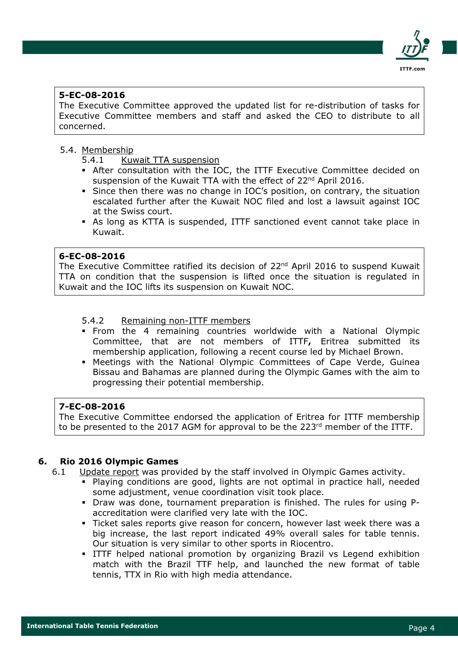

## 5-EC-08-2016

The Executive Committee approved the updated list for re-distribution of tasks for Executive Committee members and staff and asked the CEO to distribute to all concerned.

#### 5.4. Membership

- 5.4.1 Kuwait TTA suspension
- After consultation with the IOC, the ITTF Executive Committee decided on suspension of the Kuwait TTA with the effect of 22<sup>nd</sup> April 2016.
- Since then there was no change in IOC's position, on contrary, the situation escalated further after the Kuwait NOC filed and lost a lawsuit against IOC at the Swiss court.
- As long as KTTA is suspended, ITTF sanctioned event cannot take place in Kuwait.

#### 6-EC-08-2016

The Executive Committee ratified its decision of 22<sup>nd</sup> April 2016 to suspend Kuwait TTA on condition that the suspension is lifted once the situation is regulated in Kuwait and the IOC lifts its suspension on Kuwait NOC.

### 5.4.2 Remaining non-ITTF members

- From the 4 remaining countries worldwide with a National Olympic Committee, that are not members of ITTF, Eritrea submitted its membership application, following a recent course led by Michael Brown.
- Meetings with the National Olympic Committees of Cape Verde, Guinea Bissau and Bahamas are planned during the Olympic Games with the aim to progressing their potential membership.

#### 7-EC-08-2016

The Executive Committee endorsed the application of Eritrea for ITTF membership to be presented to the 2017 AGM for approval to be the 223<sup>rd</sup> member of the ITTF.

#### 6. Rio 2016 Olympic Games

- 6.1 Update report was provided by the staff involved in Olympic Games activity.
	- Playing conditions are good, lights are not optimal in practice hall, needed some adjustment, venue coordination visit took place.
	- Draw was done, tournament preparation is finished. The rules for using Paccreditation were clarified very late with the IOC.
	- Ticket sales reports give reason for concern, however last week there was a big increase, the last report indicated 49% overall sales for table tennis. Our situation is very similar to other sports in Riocentro.
	- ITTF helped national promotion by organizing Brazil vs Legend exhibition match with the Brazil TTF help, and launched the new format of table tennis, TTX in Rio with high media attendance.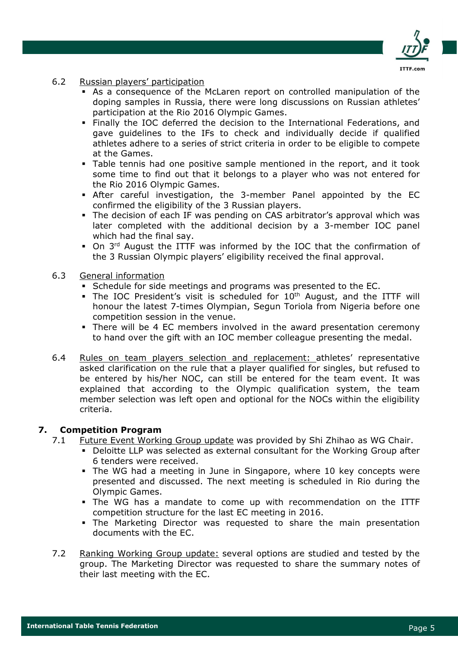

- 6.2 Russian players' participation
	- As a consequence of the McLaren report on controlled manipulation of the doping samples in Russia, there were long discussions on Russian athletes' participation at the Rio 2016 Olympic Games.
	- Finally the IOC deferred the decision to the International Federations, and gave guidelines to the IFs to check and individually decide if qualified athletes adhere to a series of strict criteria in order to be eligible to compete at the Games.
	- Table tennis had one positive sample mentioned in the report, and it took some time to find out that it belongs to a player who was not entered for the Rio 2016 Olympic Games.
	- After careful investigation, the 3-member Panel appointed by the EC confirmed the eligibility of the 3 Russian players.
	- The decision of each IF was pending on CAS arbitrator's approval which was later completed with the additional decision by a 3-member IOC panel which had the final say.
	- $\blacksquare$  On 3<sup>rd</sup> August the ITTF was informed by the IOC that the confirmation of the 3 Russian Olympic players' eligibility received the final approval.
- 6.3 General information
	- Schedule for side meetings and programs was presented to the EC.
	- The IOC President's visit is scheduled for  $10<sup>th</sup>$  August, and the ITTF will honour the latest 7-times Olympian, Segun Toriola from Nigeria before one competition session in the venue.
	- There will be 4 EC members involved in the award presentation ceremony to hand over the gift with an IOC member colleague presenting the medal.
- 6.4 Rules on team players selection and replacement: athletes' representative asked clarification on the rule that a player qualified for singles, but refused to be entered by his/her NOC, can still be entered for the team event. It was explained that according to the Olympic qualification system, the team member selection was left open and optional for the NOCs within the eligibility criteria.

# 7. Competition Program

- 7.1 Future Event Working Group update was provided by Shi Zhihao as WG Chair.
	- Deloitte LLP was selected as external consultant for the Working Group after 6 tenders were received.
	- The WG had a meeting in June in Singapore, where 10 key concepts were presented and discussed. The next meeting is scheduled in Rio during the Olympic Games.
	- The WG has a mandate to come up with recommendation on the ITTF competition structure for the last EC meeting in 2016.
	- The Marketing Director was requested to share the main presentation documents with the EC.
- 7.2 Ranking Working Group update: several options are studied and tested by the group. The Marketing Director was requested to share the summary notes of their last meeting with the EC.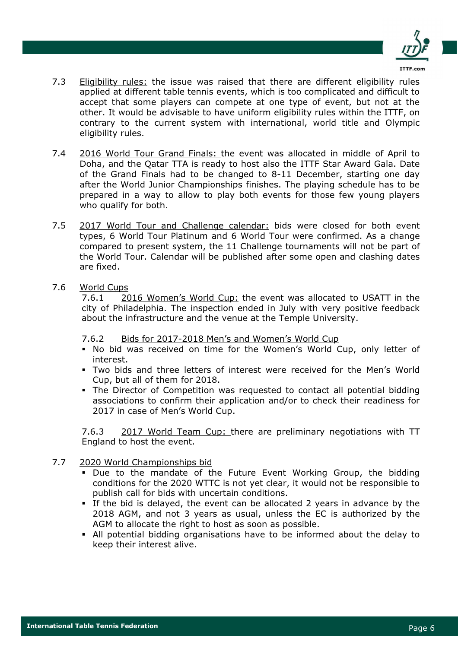

- 7.3 Eligibility rules: the issue was raised that there are different eligibility rules applied at different table tennis events, which is too complicated and difficult to accept that some players can compete at one type of event, but not at the other. It would be advisable to have uniform eligibility rules within the ITTF, on contrary to the current system with international, world title and Olympic eligibility rules.
- 7.4 2016 World Tour Grand Finals: the event was allocated in middle of April to Doha, and the Qatar TTA is ready to host also the ITTF Star Award Gala. Date of the Grand Finals had to be changed to 8-11 December, starting one day after the World Junior Championships finishes. The playing schedule has to be prepared in a way to allow to play both events for those few young players who qualify for both.
- 7.5 2017 World Tour and Challenge calendar: bids were closed for both event types, 6 World Tour Platinum and 6 World Tour were confirmed. As a change compared to present system, the 11 Challenge tournaments will not be part of the World Tour. Calendar will be published after some open and clashing dates are fixed.
- 7.6 World Cups

7.6.1 2016 Women's World Cup: the event was allocated to USATT in the city of Philadelphia. The inspection ended in July with very positive feedback about the infrastructure and the venue at the Temple University.

- 7.6.2 Bids for 2017-2018 Men's and Women's World Cup
- No bid was received on time for the Women's World Cup, only letter of interest.
- Two bids and three letters of interest were received for the Men's World Cup, but all of them for 2018.
- The Director of Competition was requested to contact all potential bidding associations to confirm their application and/or to check their readiness for 2017 in case of Men's World Cup.

7.6.3 2017 World Team Cup: there are preliminary negotiations with TT England to host the event.

- 7.7 2020 World Championships bid
	- Due to the mandate of the Future Event Working Group, the bidding conditions for the 2020 WTTC is not yet clear, it would not be responsible to publish call for bids with uncertain conditions.
	- If the bid is delayed, the event can be allocated 2 years in advance by the 2018 AGM, and not 3 years as usual, unless the EC is authorized by the AGM to allocate the right to host as soon as possible.
	- All potential bidding organisations have to be informed about the delay to keep their interest alive.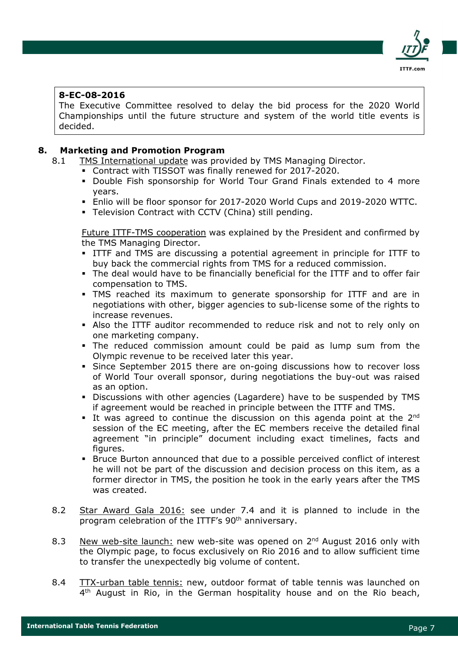

## 8-EC-08-2016

The Executive Committee resolved to delay the bid process for the 2020 World Championships until the future structure and system of the world title events is decided.

### 8. Marketing and Promotion Program

- 8.1 TMS International update was provided by TMS Managing Director.
	- Contract with TISSOT was finally renewed for 2017-2020.
		- Double Fish sponsorship for World Tour Grand Finals extended to 4 more years.
		- Enlio will be floor sponsor for 2017-2020 World Cups and 2019-2020 WTTC.
		- Television Contract with CCTV (China) still pending.

Future ITTF-TMS cooperation was explained by the President and confirmed by the TMS Managing Director.

- ITTF and TMS are discussing a potential agreement in principle for ITTF to buy back the commercial rights from TMS for a reduced commission.
- The deal would have to be financially beneficial for the ITTF and to offer fair compensation to TMS.
- TMS reached its maximum to generate sponsorship for ITTF and are in negotiations with other, bigger agencies to sub-license some of the rights to increase revenues.
- Also the ITTF auditor recommended to reduce risk and not to rely only on one marketing company.
- The reduced commission amount could be paid as lump sum from the Olympic revenue to be received later this year.
- Since September 2015 there are on-going discussions how to recover loss of World Tour overall sponsor, during negotiations the buy-out was raised as an option.
- Discussions with other agencies (Lagardere) have to be suspended by TMS if agreement would be reached in principle between the ITTF and TMS.
- It was agreed to continue the discussion on this agenda point at the  $2^{nd}$ session of the EC meeting, after the EC members receive the detailed final agreement "in principle" document including exact timelines, facts and figures.
- Bruce Burton announced that due to a possible perceived conflict of interest he will not be part of the discussion and decision process on this item, as a former director in TMS, the position he took in the early years after the TMS was created.
- 8.2 Star Award Gala 2016: see under 7.4 and it is planned to include in the program celebration of the ITTF's 90<sup>th</sup> anniversary.
- 8.3 New web-site launch: new web-site was opened on  $2^{nd}$  August 2016 only with the Olympic page, to focus exclusively on Rio 2016 and to allow sufficient time to transfer the unexpectedly big volume of content.
- 8.4 TTX-urban table tennis: new, outdoor format of table tennis was launched on 4<sup>th</sup> August in Rio, in the German hospitality house and on the Rio beach,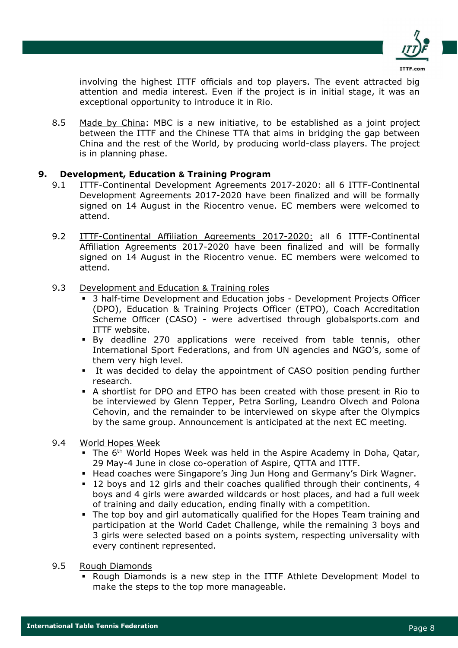

involving the highest ITTF officials and top players. The event attracted big attention and media interest. Even if the project is in initial stage, it was an exceptional opportunity to introduce it in Rio.

8.5 Made by China: MBC is a new initiative, to be established as a joint project between the ITTF and the Chinese TTA that aims in bridging the gap between China and the rest of the World, by producing world-class players. The project is in planning phase.

## 9. Development, Education & Training Program

- 9.1 ITTF-Continental Development Agreements 2017-2020: all 6 ITTF-Continental Development Agreements 2017-2020 have been finalized and will be formally signed on 14 August in the Riocentro venue. EC members were welcomed to attend.
- 9.2 **ITTF-Continental Affiliation Agreements 2017-2020:** all 6 ITTF-Continental Affiliation Agreements 2017-2020 have been finalized and will be formally signed on 14 August in the Riocentro venue. EC members were welcomed to attend.
- 9.3 Development and Education & Training roles
	- 3 half-time Development and Education jobs Development Projects Officer (DPO), Education & Training Projects Officer (ETPO), Coach Accreditation Scheme Officer (CASO) - were advertised through globalsports.com and ITTF website.
	- By deadline 270 applications were received from table tennis, other International Sport Federations, and from UN agencies and NGO's, some of them very high level.
	- It was decided to delay the appointment of CASO position pending further research.
	- A shortlist for DPO and ETPO has been created with those present in Rio to be interviewed by Glenn Tepper, Petra Sorling, Leandro Olvech and Polona Cehovin, and the remainder to be interviewed on skype after the Olympics by the same group. Announcement is anticipated at the next EC meeting.

#### 9.4 World Hopes Week

- The 6<sup>th</sup> World Hopes Week was held in the Aspire Academy in Doha, Oatar, 29 May-4 June in close co-operation of Aspire, QTTA and ITTF.
- Head coaches were Singapore's Jing Jun Hong and Germany's Dirk Wagner.
- 12 boys and 12 girls and their coaches qualified through their continents, 4 boys and 4 girls were awarded wildcards or host places, and had a full week of training and daily education, ending finally with a competition.
- The top boy and girl automatically qualified for the Hopes Team training and participation at the World Cadet Challenge, while the remaining 3 boys and 3 girls were selected based on a points system, respecting universality with every continent represented.
- 9.5 Rough Diamonds
	- Rough Diamonds is a new step in the ITTF Athlete Development Model to make the steps to the top more manageable.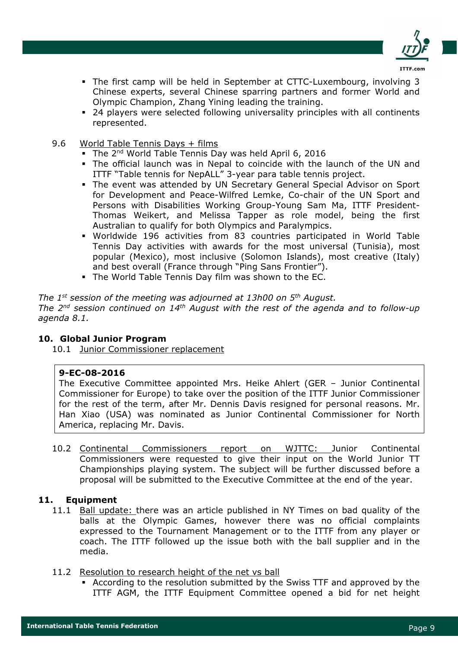

- The first camp will be held in September at CTTC-Luxembourg, involving 3 Chinese experts, several Chinese sparring partners and former World and Olympic Champion, Zhang Yining leading the training.
- 24 players were selected following universality principles with all continents represented.
- 9.6 World Table Tennis Days + films
	- The 2<sup>nd</sup> World Table Tennis Day was held April 6, 2016
	- The official launch was in Nepal to coincide with the launch of the UN and ITTF "Table tennis for NepALL" 3-year para table tennis project.
	- The event was attended by UN Secretary General Special Advisor on Sport for Development and Peace-Wilfred Lemke, Co-chair of the UN Sport and Persons with Disabilities Working Group-Young Sam Ma, ITTF President-Thomas Weikert, and Melissa Tapper as role model, being the first Australian to qualify for both Olympics and Paralympics.
	- Worldwide 196 activities from 83 countries participated in World Table Tennis Day activities with awards for the most universal (Tunisia), most popular (Mexico), most inclusive (Solomon Islands), most creative (Italy) and best overall (France through "Ping Sans Frontier").
	- The World Table Tennis Day film was shown to the EC.

The  $1^{st}$  session of the meeting was adjourned at 13h00 on  $5^{th}$  August. The  $2^{nd}$  session continued on  $14^{th}$  August with the rest of the agenda and to follow-up agenda 8.1.

#### 10. Global Junior Program

10.1 Junior Commissioner replacement

#### 9-EC-08-2016

The Executive Committee appointed Mrs. Heike Ahlert (GER – Junior Continental Commissioner for Europe) to take over the position of the ITTF Junior Commissioner for the rest of the term, after Mr. Dennis Davis resigned for personal reasons. Mr. Han Xiao (USA) was nominated as Junior Continental Commissioner for North America, replacing Mr. Davis.

10.2 Continental Commissioners report on WJTTC: Junior Continental Commissioners were requested to give their input on the World Junior TT Championships playing system. The subject will be further discussed before a proposal will be submitted to the Executive Committee at the end of the year.

#### 11. Equipment

- 11.1 Ball update: there was an article published in NY Times on bad quality of the balls at the Olympic Games, however there was no official complaints expressed to the Tournament Management or to the ITTF from any player or coach. The ITTF followed up the issue both with the ball supplier and in the media.
- 11.2 Resolution to research height of the net vs ball
	- According to the resolution submitted by the Swiss TTF and approved by the ITTF AGM, the ITTF Equipment Committee opened a bid for net height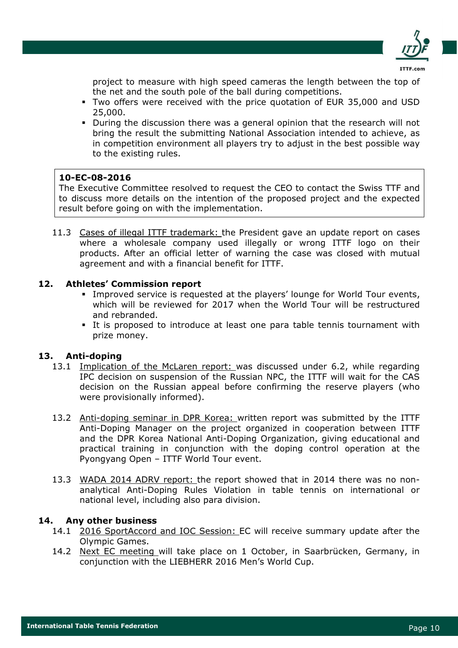

project to measure with high speed cameras the length between the top of the net and the south pole of the ball during competitions.

- Two offers were received with the price quotation of EUR 35,000 and USD 25,000.
- During the discussion there was a general opinion that the research will not bring the result the submitting National Association intended to achieve, as in competition environment all players try to adjust in the best possible way to the existing rules.

## 10-EC-08-2016

The Executive Committee resolved to request the CEO to contact the Swiss TTF and to discuss more details on the intention of the proposed project and the expected result before going on with the implementation.

11.3 Cases of illegal ITTF trademark: the President gave an update report on cases where a wholesale company used illegally or wrong ITTF logo on their products. After an official letter of warning the case was closed with mutual agreement and with a financial benefit for ITTF.

# 12. Athletes' Commission report

- Improved service is requested at the players' lounge for World Tour events, which will be reviewed for 2017 when the World Tour will be restructured and rebranded.
- It is proposed to introduce at least one para table tennis tournament with prize money.

# 13. Anti-doping

- 13.1 Implication of the McLaren report: was discussed under 6.2, while regarding IPC decision on suspension of the Russian NPC, the ITTF will wait for the CAS decision on the Russian appeal before confirming the reserve players (who were provisionally informed).
- 13.2 Anti-doping seminar in DPR Korea: written report was submitted by the ITTF Anti-Doping Manager on the project organized in cooperation between ITTF and the DPR Korea National Anti-Doping Organization, giving educational and practical training in conjunction with the doping control operation at the Pyongyang Open – ITTF World Tour event.
- 13.3 WADA 2014 ADRV report: the report showed that in 2014 there was no nonanalytical Anti-Doping Rules Violation in table tennis on international or national level, including also para division.

# 14. Any other business

- 14.1 2016 SportAccord and IOC Session: EC will receive summary update after the Olympic Games.
- 14.2 Next EC meeting will take place on 1 October, in Saarbrücken, Germany, in conjunction with the LIEBHERR 2016 Men's World Cup.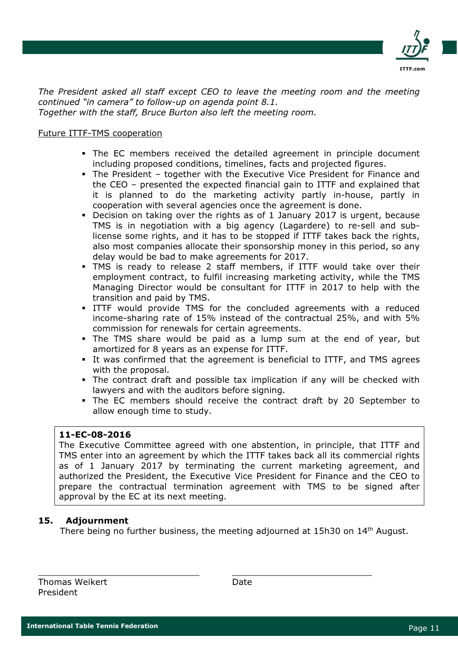

The President asked all staff except CEO to leave the meeting room and the meeting continued "in camera" to follow-up on agenda point 8.1. Together with the staff, Bruce Burton also left the meeting room.

## Future ITTF-TMS cooperation

- The EC members received the detailed agreement in principle document including proposed conditions, timelines, facts and projected figures.
- The President together with the Executive Vice President for Finance and the CEO – presented the expected financial gain to ITTF and explained that it is planned to do the marketing activity partly in-house, partly in cooperation with several agencies once the agreement is done.
- Decision on taking over the rights as of 1 January 2017 is urgent, because TMS is in negotiation with a big agency (Lagardere) to re-sell and sublicense some rights, and it has to be stopped if ITTF takes back the rights, also most companies allocate their sponsorship money in this period, so any delay would be bad to make agreements for 2017.
- TMS is ready to release 2 staff members, if ITTF would take over their employment contract, to fulfil increasing marketing activity, while the TMS Managing Director would be consultant for ITTF in 2017 to help with the transition and paid by TMS.
- ITTF would provide TMS for the concluded agreements with a reduced income-sharing rate of 15% instead of the contractual 25%, and with 5% commission for renewals for certain agreements.
- The TMS share would be paid as a lump sum at the end of year, but amortized for 8 years as an expense for ITTF.
- It was confirmed that the agreement is beneficial to ITTF, and TMS agrees with the proposal.
- The contract draft and possible tax implication if any will be checked with lawyers and with the auditors before signing.
- The EC members should receive the contract draft by 20 September to allow enough time to study.

## 11-EC-08-2016

The Executive Committee agreed with one abstention, in principle, that ITTF and TMS enter into an agreement by which the ITTF takes back all its commercial rights as of 1 January 2017 by terminating the current marketing agreement, and authorized the President, the Executive Vice President for Finance and the CEO to prepare the contractual termination agreement with TMS to be signed after approval by the EC at its next meeting.

# 15. Adjournment

There being no further business, the meeting adjourned at 15h30 on 14<sup>th</sup> August.

\_\_\_\_\_\_\_\_\_\_\_\_\_\_\_\_\_\_\_\_\_\_\_\_\_\_\_\_\_\_ \_\_\_\_\_\_\_\_\_\_\_\_\_\_\_\_\_\_\_\_\_\_\_\_\_\_ Thomas Weikert **Date** Date President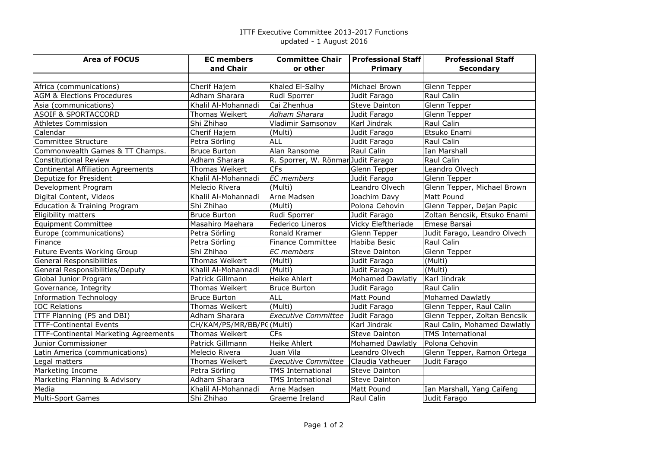#### ITTF Executive Committee 2013-2017 Functionsupdated - 1 August 2016

| <b>Area of FOCUS</b>                      | <b>EC</b> members         | <b>Committee Chair</b>             | <b>Professional Staff</b> | <b>Professional Staff</b>    |
|-------------------------------------------|---------------------------|------------------------------------|---------------------------|------------------------------|
|                                           | and Chair                 | or other                           | <b>Primary</b>            | <b>Secondary</b>             |
|                                           |                           |                                    |                           |                              |
| Africa (communications)                   | Cherif Hajem              | Khaled El-Salhy                    | Michael Brown             | Glenn Tepper                 |
| <b>AGM &amp; Elections Procedures</b>     | Adham Sharara             | Rudi Sporrer                       | Judit Farago              | Raul Calin                   |
| Asia (communications)                     | Khalil Al-Mohannadi       | Cai Zhenhua                        | <b>Steve Dainton</b>      | Glenn Tepper                 |
| <b>ASOIF &amp; SPORTACCORD</b>            | Thomas Weikert            | Adham Sharara                      | Judit Farago              | Glenn Tepper                 |
| <b>Athletes Commission</b>                | Shi Zhihao                | Vladimir Samsonov                  | Karl Jindrak              | Raul Calin                   |
| Calendar                                  | Cherif Hajem              | $\overline{\text{(Multi)}}$        | Judit Farago              | Etsuko Enami                 |
| Committee Structure                       | Petra Sörling             | <b>ALL</b>                         | Judit Farago              | Raul Calin                   |
| Commonwealth Games & TT Champs.           | <b>Bruce Burton</b>       | Alan Ransome                       | Raul Calin                | Ian Marshall                 |
| <b>Constitutional Review</b>              | Adham Sharara             | R. Sporrer, W. Rönmar Judit Farago |                           | Raul Calin                   |
| <b>Continental Affiliation Agreements</b> | Thomas Weikert            | CFs                                | Glenn Tepper              | Leandro Olvech               |
| Deputize for President                    | Khalil Al-Mohannadi       | <b>EC</b> members                  | Judit Farago              | Glenn Tepper                 |
| Development Program                       | Melecio Rivera            | (Multi)                            | Leandro Olvech            | Glenn Tepper, Michael Brown  |
| Digital Content, Videos                   | Khalil Al-Mohannadi       | Arne Madsen                        | Joachim Davy              | Matt Pound                   |
| <b>Education &amp; Training Program</b>   | Shi Zhihao                | (Multi)                            | Polona Cehovin            | Glenn Tepper, Dejan Papic    |
| Eligibility matters                       | <b>Bruce Burton</b>       | Rudi Sporrer                       | Judit Farago              | Zoltan Bencsik, Etsuko Enami |
| <b>Equipment Committee</b>                | Masahiro Maehara          | Federico Lineros                   | Vicky Eleftheriade        | Emese Barsai                 |
| Europe (communications)                   | Petra Sörling             | Ronald Kramer                      | Glenn Tepper              | Judit Farago, Leandro Olvech |
| Finance                                   | Petra Sörling             | <b>Finance Committee</b>           | Habiba Besic              | Raul Calin                   |
| Future Events Working Group               | Shi Zhihao                | <b>EC</b> members                  | <b>Steve Dainton</b>      | Glenn Tepper                 |
| General Responsibilities                  | <b>Thomas Weikert</b>     | (Multi)                            | Judit Farago              | (Multi)                      |
| General Responsibilities/Deputy           | Khalil Al-Mohannadi       | (Multi)                            | Judit Farago              | (Multi)                      |
| Global Junior Program                     | Patrick Gillmann          | Heike Ahlert                       | <b>Mohamed Dawlatly</b>   | Karl Jindrak                 |
| Governance, Integrity                     | <b>Thomas Weikert</b>     | <b>Bruce Burton</b>                | Judit Farago              | Raul Calin                   |
| <b>Information Technology</b>             | <b>Bruce Burton</b>       | <b>ALL</b>                         | Matt Pound                | <b>Mohamed Dawlatly</b>      |
| <b>IOC Relations</b>                      | Thomas Weikert            | (Multi)                            | Judit Farago              | Glenn Tepper, Raul Calin     |
| ITTF Planning (P5 and DBI)                | Adham Sharara             | <b>Executive Committee</b>         | Judit Farago              | Glenn Tepper, Zoltan Bencsik |
| <b>ITTF-Continental Events</b>            | CH/KAM/PS/MR/BB/PC(Multi) |                                    | Karl Jindrak              | Raul Calin, Mohamed Dawlatly |
| ITTF-Continental Marketing Agreements     | Thomas Weikert            | <b>CFs</b>                         | <b>Steve Dainton</b>      | <b>TMS International</b>     |
| Junior Commissioner                       | Patrick Gillmann          | <b>Heike Ahlert</b>                | Mohamed Dawlatly          | Polona Cehovin               |
| Latin America (communications)            | Melecio Rivera            | Juan Vila                          | Leandro Olvech            | Glenn Tepper, Ramon Ortega   |
| Legal matters                             | Thomas Weikert            | <b>Executive Committee</b>         | Claudia Vatheuer          | Judit Farago                 |
| Marketing Income                          | Petra Sörling             | <b>TMS International</b>           | <b>Steve Dainton</b>      |                              |
| Marketing Planning & Advisory             | Adham Sharara             | <b>TMS International</b>           | Steve Dainton             |                              |
| Media                                     | Khalil Al-Mohannadi       | Arne Madsen                        | Matt Pound                | Ian Marshall, Yang Caifeng   |
| <b>Multi-Sport Games</b>                  | Shi Zhihao                | Graeme Ireland                     | Raul Calin                | Judit Farago                 |